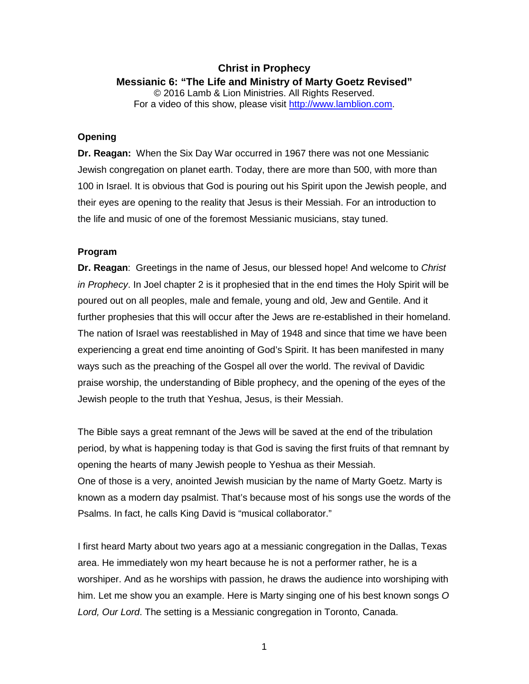# **Christ in Prophecy Messianic 6: "The Life and Ministry of Marty Goetz Revised"** © 2016 Lamb & Lion Ministries. All Rights Reserved. For a video of this show, please visit [http://www.lamblion.com.](http://www.lamblion.com/)

### **Opening**

**Dr. Reagan:** When the Six Day War occurred in 1967 there was not one Messianic Jewish congregation on planet earth. Today, there are more than 500, with more than 100 in Israel. It is obvious that God is pouring out his Spirit upon the Jewish people, and their eyes are opening to the reality that Jesus is their Messiah. For an introduction to the life and music of one of the foremost Messianic musicians, stay tuned.

## **Program**

**Dr. Reagan**: Greetings in the name of Jesus, our blessed hope! And welcome to *Christ in Prophecy*. In Joel chapter 2 is it prophesied that in the end times the Holy Spirit will be poured out on all peoples, male and female, young and old, Jew and Gentile. And it further prophesies that this will occur after the Jews are re-established in their homeland. The nation of Israel was reestablished in May of 1948 and since that time we have been experiencing a great end time anointing of God's Spirit. It has been manifested in many ways such as the preaching of the Gospel all over the world. The revival of Davidic praise worship, the understanding of Bible prophecy, and the opening of the eyes of the Jewish people to the truth that Yeshua, Jesus, is their Messiah.

The Bible says a great remnant of the Jews will be saved at the end of the tribulation period, by what is happening today is that God is saving the first fruits of that remnant by opening the hearts of many Jewish people to Yeshua as their Messiah. One of those is a very, anointed Jewish musician by the name of Marty Goetz. Marty is known as a modern day psalmist. That's because most of his songs use the words of the Psalms. In fact, he calls King David is "musical collaborator."

I first heard Marty about two years ago at a messianic congregation in the Dallas, Texas area. He immediately won my heart because he is not a performer rather, he is a worshiper. And as he worships with passion, he draws the audience into worshiping with him. Let me show you an example. Here is Marty singing one of his best known songs *O Lord, Our Lord*. The setting is a Messianic congregation in Toronto, Canada.

1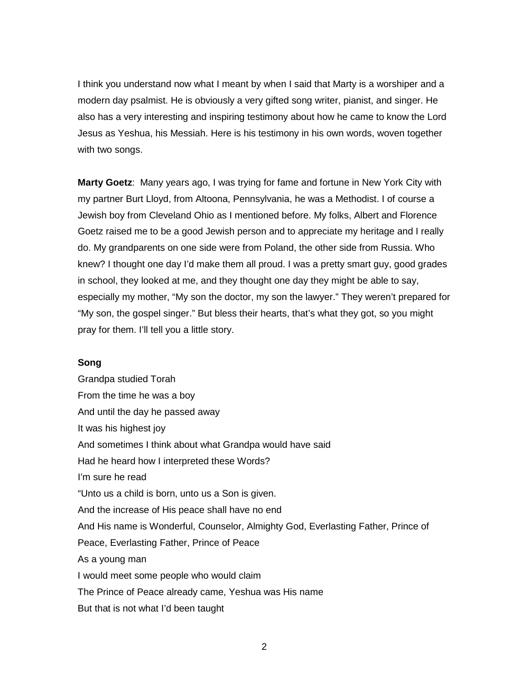I think you understand now what I meant by when I said that Marty is a worshiper and a modern day psalmist. He is obviously a very gifted song writer, pianist, and singer. He also has a very interesting and inspiring testimony about how he came to know the Lord Jesus as Yeshua, his Messiah. Here is his testimony in his own words, woven together with two songs.

**Marty Goetz**: Many years ago, I was trying for fame and fortune in New York City with my partner Burt Lloyd, from Altoona, Pennsylvania, he was a Methodist. I of course a Jewish boy from Cleveland Ohio as I mentioned before. My folks, Albert and Florence Goetz raised me to be a good Jewish person and to appreciate my heritage and I really do. My grandparents on one side were from Poland, the other side from Russia. Who knew? I thought one day I'd make them all proud. I was a pretty smart guy, good grades in school, they looked at me, and they thought one day they might be able to say, especially my mother, "My son the doctor, my son the lawyer." They weren't prepared for "My son, the gospel singer." But bless their hearts, that's what they got, so you might pray for them. I'll tell you a little story.

#### **Song**

Grandpa studied Torah From the time he was a boy And until the day he passed away It was his highest joy And sometimes I think about what Grandpa would have said Had he heard how I interpreted these Words? I'm sure he read "Unto us a child is born, unto us a Son is given. And the increase of His peace shall have no end And His name is Wonderful, Counselor, Almighty God, Everlasting Father, Prince of Peace, Everlasting Father, Prince of Peace As a young man I would meet some people who would claim The Prince of Peace already came, Yeshua was His name But that is not what I'd been taught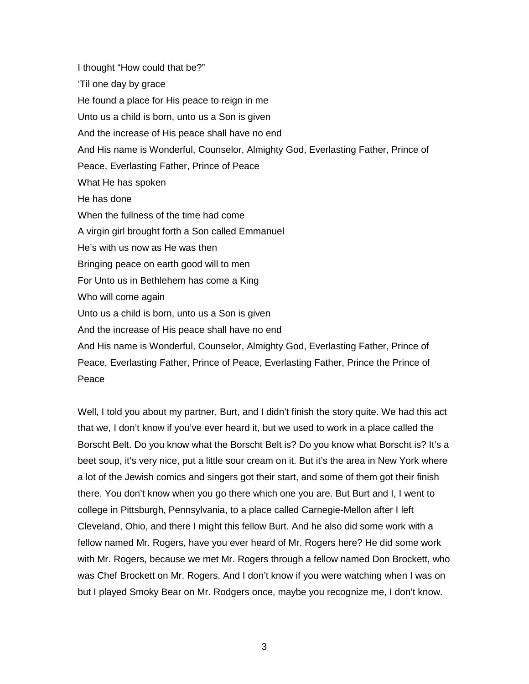I thought "How could that be?" 'Til one day by grace He found a place for His peace to reign in me Unto us a child is born, unto us a Son is given And the increase of His peace shall have no end And His name is Wonderful, Counselor, Almighty God, Everlasting Father, Prince of Peace, Everlasting Father, Prince of Peace What He has spoken He has done When the fullness of the time had come A virgin girl brought forth a Son called Emmanuel He's with us now as He was then Bringing peace on earth good will to men For Unto us in Bethlehem has come a King Who will come again Unto us a child is born, unto us a Son is given And the increase of His peace shall have no end And His name is Wonderful, Counselor, Almighty God, Everlasting Father, Prince of Peace, Everlasting Father, Prince of Peace, Everlasting Father, Prince the Prince of Peace

Well, I told you about my partner, Burt, and I didn't finish the story quite. We had this act that we, I don't know if you've ever heard it, but we used to work in a place called the Borscht Belt. Do you know what the Borscht Belt is? Do you know what Borscht is? It's a beet soup, it's very nice, put a little sour cream on it. But it's the area in New York where a lot of the Jewish comics and singers got their start, and some of them got their finish there. You don't know when you go there which one you are. But Burt and I, I went to college in Pittsburgh, Pennsylvania, to a place called Carnegie-Mellon after I left Cleveland, Ohio, and there I might this fellow Burt. And he also did some work with a fellow named Mr. Rogers, have you ever heard of Mr. Rogers here? He did some work with Mr. Rogers, because we met Mr. Rogers through a fellow named Don Brockett, who was Chef Brockett on Mr. Rogers. And I don't know if you were watching when I was on but I played Smoky Bear on Mr. Rodgers once, maybe you recognize me, I don't know.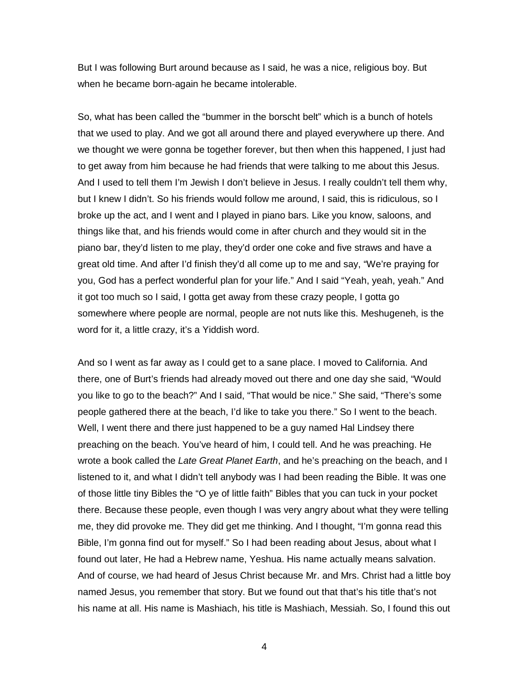But I was following Burt around because as I said, he was a nice, religious boy. But when he became born-again he became intolerable.

So, what has been called the "bummer in the borscht belt" which is a bunch of hotels that we used to play. And we got all around there and played everywhere up there. And we thought we were gonna be together forever, but then when this happened, I just had to get away from him because he had friends that were talking to me about this Jesus. And I used to tell them I'm Jewish I don't believe in Jesus. I really couldn't tell them why, but I knew I didn't. So his friends would follow me around, I said, this is ridiculous, so I broke up the act, and I went and I played in piano bars. Like you know, saloons, and things like that, and his friends would come in after church and they would sit in the piano bar, they'd listen to me play, they'd order one coke and five straws and have a great old time. And after I'd finish they'd all come up to me and say, "We're praying for you, God has a perfect wonderful plan for your life." And I said "Yeah, yeah, yeah." And it got too much so I said, I gotta get away from these crazy people, I gotta go somewhere where people are normal, people are not nuts like this. Meshugeneh, is the word for it, a little crazy, it's a Yiddish word.

And so I went as far away as I could get to a sane place. I moved to California. And there, one of Burt's friends had already moved out there and one day she said, "Would you like to go to the beach?" And I said, "That would be nice." She said, "There's some people gathered there at the beach, I'd like to take you there." So I went to the beach. Well, I went there and there just happened to be a guy named Hal Lindsey there preaching on the beach. You've heard of him, I could tell. And he was preaching. He wrote a book called the *Late Great Planet Earth*, and he's preaching on the beach, and I listened to it, and what I didn't tell anybody was I had been reading the Bible. It was one of those little tiny Bibles the "O ye of little faith" Bibles that you can tuck in your pocket there. Because these people, even though I was very angry about what they were telling me, they did provoke me. They did get me thinking. And I thought, "I'm gonna read this Bible, I'm gonna find out for myself." So I had been reading about Jesus, about what I found out later, He had a Hebrew name, Yeshua. His name actually means salvation. And of course, we had heard of Jesus Christ because Mr. and Mrs. Christ had a little boy named Jesus, you remember that story. But we found out that that's his title that's not his name at all. His name is Mashiach, his title is Mashiach, Messiah. So, I found this out

4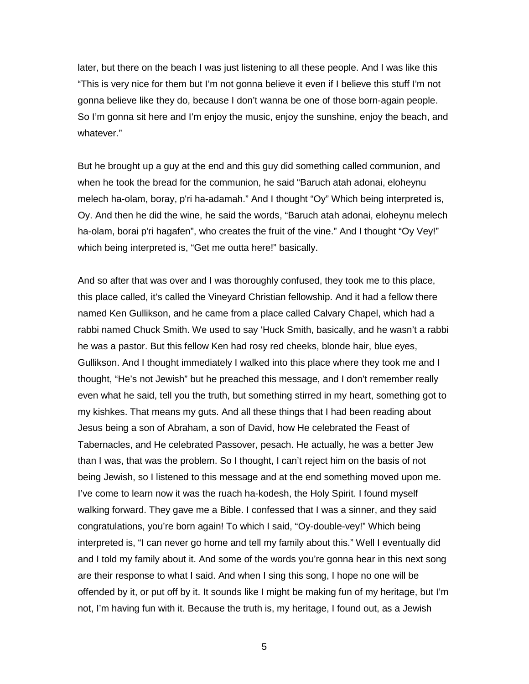later, but there on the beach I was just listening to all these people. And I was like this "This is very nice for them but I'm not gonna believe it even if I believe this stuff I'm not gonna believe like they do, because I don't wanna be one of those born-again people. So I'm gonna sit here and I'm enjoy the music, enjoy the sunshine, enjoy the beach, and whatever."

But he brought up a guy at the end and this guy did something called communion, and when he took the bread for the communion, he said "Baruch atah adonai, eloheynu melech ha-olam, boray, p'ri ha-adamah." And I thought "Oy" Which being interpreted is, Oy. And then he did the wine, he said the words, "Baruch atah adonai, eloheynu melech ha-olam, borai p'ri hagafen", who creates the fruit of the vine." And I thought "Oy Vey!" which being interpreted is, "Get me outta here!" basically.

And so after that was over and I was thoroughly confused, they took me to this place, this place called, it's called the Vineyard Christian fellowship. And it had a fellow there named Ken Gullikson, and he came from a place called Calvary Chapel, which had a rabbi named Chuck Smith. We used to say 'Huck Smith, basically, and he wasn't a rabbi he was a pastor. But this fellow Ken had rosy red cheeks, blonde hair, blue eyes, Gullikson. And I thought immediately I walked into this place where they took me and I thought, "He's not Jewish" but he preached this message, and I don't remember really even what he said, tell you the truth, but something stirred in my heart, something got to my kishkes. That means my guts. And all these things that I had been reading about Jesus being a son of Abraham, a son of David, how He celebrated the Feast of Tabernacles, and He celebrated Passover, pesach. He actually, he was a better Jew than I was, that was the problem. So I thought, I can't reject him on the basis of not being Jewish, so I listened to this message and at the end something moved upon me. I've come to learn now it was the ruach ha-kodesh, the Holy Spirit. I found myself walking forward. They gave me a Bible. I confessed that I was a sinner, and they said congratulations, you're born again! To which I said, "Oy-double-vey!" Which being interpreted is, "I can never go home and tell my family about this." Well I eventually did and I told my family about it. And some of the words you're gonna hear in this next song are their response to what I said. And when I sing this song, I hope no one will be offended by it, or put off by it. It sounds like I might be making fun of my heritage, but I'm not, I'm having fun with it. Because the truth is, my heritage, I found out, as a Jewish

5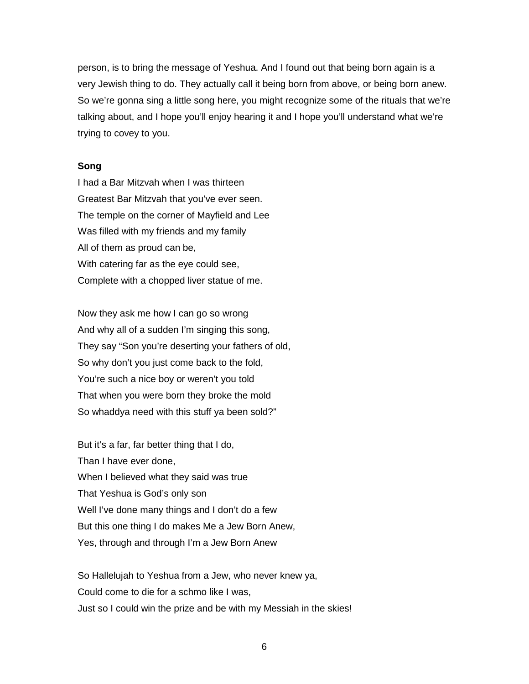person, is to bring the message of Yeshua. And I found out that being born again is a very Jewish thing to do. They actually call it being born from above, or being born anew. So we're gonna sing a little song here, you might recognize some of the rituals that we're talking about, and I hope you'll enjoy hearing it and I hope you'll understand what we're trying to covey to you.

### **Song**

I had a Bar Mitzvah when I was thirteen Greatest Bar Mitzvah that you've ever seen. The temple on the corner of Mayfield and Lee Was filled with my friends and my family All of them as proud can be, With catering far as the eye could see, Complete with a chopped liver statue of me.

Now they ask me how I can go so wrong And why all of a sudden I'm singing this song, They say "Son you're deserting your fathers of old, So why don't you just come back to the fold, You're such a nice boy or weren't you told That when you were born they broke the mold So whaddya need with this stuff ya been sold?"

But it's a far, far better thing that I do, Than I have ever done, When I believed what they said was true That Yeshua is God's only son Well I've done many things and I don't do a few But this one thing I do makes Me a Jew Born Anew, Yes, through and through I'm a Jew Born Anew

So Hallelujah to Yeshua from a Jew, who never knew ya, Could come to die for a schmo like I was, Just so I could win the prize and be with my Messiah in the skies!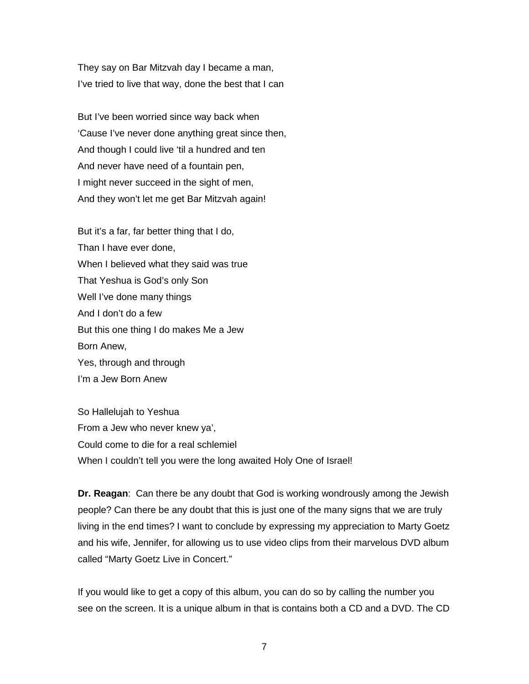They say on Bar Mitzvah day I became a man, I've tried to live that way, done the best that I can

But I've been worried since way back when 'Cause I've never done anything great since then, And though I could live 'til a hundred and ten And never have need of a fountain pen, I might never succeed in the sight of men, And they won't let me get Bar Mitzvah again!

But it's a far, far better thing that I do, Than I have ever done, When I believed what they said was true That Yeshua is God's only Son Well I've done many things And I don't do a few But this one thing I do makes Me a Jew Born Anew, Yes, through and through I'm a Jew Born Anew

So Hallelujah to Yeshua From a Jew who never knew ya', Could come to die for a real schlemiel When I couldn't tell you were the long awaited Holy One of Israel!

**Dr. Reagan**: Can there be any doubt that God is working wondrously among the Jewish people? Can there be any doubt that this is just one of the many signs that we are truly living in the end times? I want to conclude by expressing my appreciation to Marty Goetz and his wife, Jennifer, for allowing us to use video clips from their marvelous DVD album called "Marty Goetz Live in Concert."

If you would like to get a copy of this album, you can do so by calling the number you see on the screen. It is a unique album in that is contains both a CD and a DVD. The CD